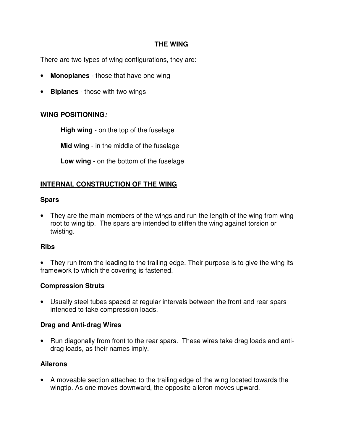### **THE WING**

There are two types of wing configurations, they are:

- **Monoplanes** those that have one wing
- **Biplanes** those with two wings

# **WING POSITIONING:**

**High wing** - on the top of the fuselage

**Mid wing** - in the middle of the fuselage

**Low wing** - on the bottom of the fuselage

# **INTERNAL CONSTRUCTION OF THE WING**

### **Spars**

• They are the main members of the wings and run the length of the wing from wing root to wing tip. The spars are intended to stiffen the wing against torsion or twisting.

### **Ribs**

They run from the leading to the trailing edge. Their purpose is to give the wing its framework to which the covering is fastened.

### **Compression Struts**

• Usually steel tubes spaced at regular intervals between the front and rear spars intended to take compression loads.

### **Drag and Anti-drag Wires**

• Run diagonally from front to the rear spars. These wires take drag loads and antidrag loads, as their names imply.

### **Ailerons**

• A moveable section attached to the trailing edge of the wing located towards the wingtip. As one moves downward, the opposite aileron moves upward.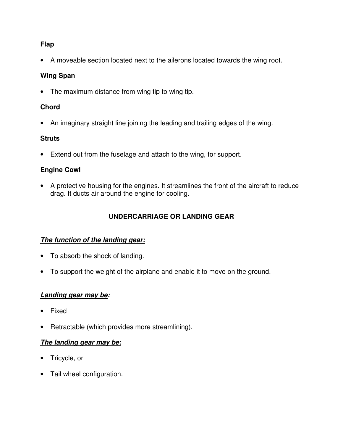### **Flap**

• A moveable section located next to the ailerons located towards the wing root.

# **Wing Span**

• The maximum distance from wing tip to wing tip.

# **Chord**

• An imaginary straight line joining the leading and trailing edges of the wing.

# **Struts**

• Extend out from the fuselage and attach to the wing, for support.

# **Engine Cowl**

• A protective housing for the engines. It streamlines the front of the aircraft to reduce drag. It ducts air around the engine for cooling.

# **UNDERCARRIAGE OR LANDING GEAR**

### **The function of the landing gear:**

- To absorb the shock of landing.
- To support the weight of the airplane and enable it to move on the ground.

### **Landing gear may be:**

- Fixed
- Retractable (which provides more streamlining).

### **The landing gear may be:**

- Tricycle, or
- Tail wheel configuration.